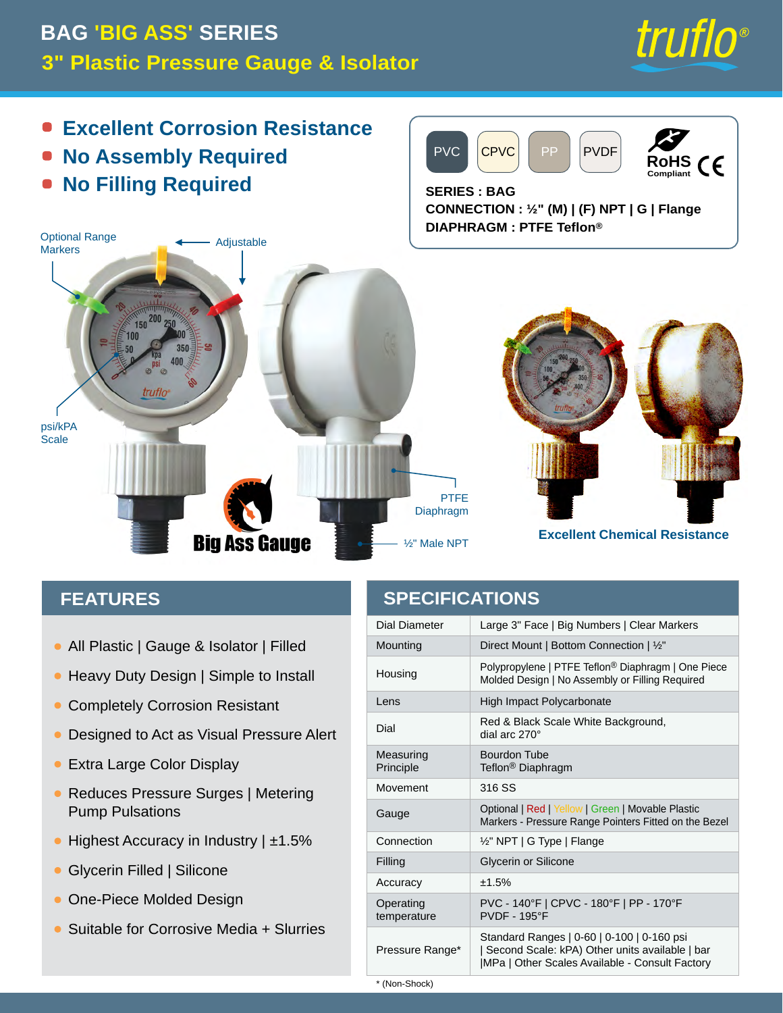#### truflo® **BAG 'BIG ASS' SERIES3" Plastic Pressure Gauge & Isolator Excellent Corrosion Resistance**  $\bullet$ PVC CPVC PP PVDF **No Assembly Required RoHS Compliant**  $\epsilon$ **No Filling Required**  $\blacksquare$ **SERIES : BAG CONNECTION : ½" (M) | (F) NPT | G | Flange DIAPHRAGM : PTFE Teflon®** Optional Range **4** Adjustable **Markers**  $150$ 100 truflo psi/kPA **Scale** PTFE Diaphragm **Excellent Chemical Resistance Big Ass Gauge** ½" Male NPT

#### **FEATURES**

- All Plastic | Gauge & Isolator | Filled •
- Heavy Duty Design | Simple to Install  $\bullet$
- Completely Corrosion Resistant  $\bullet$
- Designed to Act as Visual Pressure Alert  $\bullet$
- Extra Large Color Display
- Reduces Pressure Surges | Metering Pump Pulsations
- Highest Accuracy in Industry | ±1.5%
- Glycerin Filled | Silicone
- **One-Piece Molded Design**
- Suitable for Corrosive Media + Slurries

#### **SPECIFICATIONS**

| Dial Diameter            | Large 3" Face   Big Numbers   Clear Markers                                                                                                      |
|--------------------------|--------------------------------------------------------------------------------------------------------------------------------------------------|
| Mounting                 | Direct Mount   Bottom Connection   1/2"                                                                                                          |
| Housing                  | Polypropylene   PTFE Teflon <sup>®</sup> Diaphragm   One Piece<br>Molded Design   No Assembly or Filling Required                                |
| Lens                     | High Impact Polycarbonate                                                                                                                        |
| Dial                     | Red & Black Scale White Background,<br>dial arc 270°                                                                                             |
| Measuring<br>Principle   | <b>Bourdon Tube</b><br>Teflon <sup>®</sup> Diaphragm                                                                                             |
| Movement                 | 316 SS                                                                                                                                           |
| Gauge                    | Optional   Red   Yellow   Green   Movable Plastic<br>Markers - Pressure Range Pointers Fitted on the Bezel                                       |
| Connection               | $\frac{1}{2}$ " NPT   G Type   Flange                                                                                                            |
| Filling                  | Glycerin or Silicone                                                                                                                             |
| Accuracy                 | ±1.5%                                                                                                                                            |
| Operating<br>temperature | PVC - 140°F   CPVC - 180°F   PP - 170°F<br><b>PVDF - 195°F</b>                                                                                   |
| Pressure Range*          | Standard Ranges   0-60   0-100   0-160 psi<br>  Second Scale: kPA) Other units available   bar<br>MPa   Other Scales Available - Consult Factory |

\* (Non-Shock)